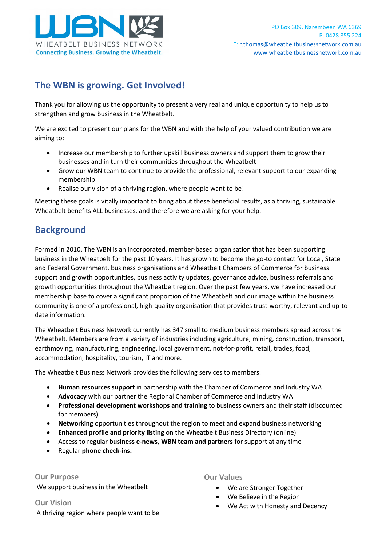

## **The WBN is growing. Get Involved!**

Thank you for allowing us the opportunity to present a very real and unique opportunity to help us to strengthen and grow business in the Wheatbelt.

We are excited to present our plans for the WBN and with the help of your valued contribution we are aiming to:

- Increase our membership to further upskill business owners and support them to grow their businesses and in turn their communities throughout the Wheatbelt
- Grow our WBN team to continue to provide the professional, relevant support to our expanding membership
- Realise our vision of a thriving region, where people want to be!

Meeting these goals is vitally important to bring about these beneficial results, as a thriving, sustainable Wheatbelt benefits ALL businesses, and therefore we are asking for your help.

### **Background**

Formed in 2010, The WBN is an incorporated, member-based organisation that has been supporting business in the Wheatbelt for the past 10 years. It has grown to become the go-to contact for Local, State and Federal Government, business organisations and Wheatbelt Chambers of Commerce for business support and growth opportunities, business activity updates, governance advice, business referrals and growth opportunities throughout the Wheatbelt region. Over the past few years, we have increased our membership base to cover a significant proportion of the Wheatbelt and our image within the business community is one of a professional, high-quality organisation that provides trust-worthy, relevant and up-todate information.

The Wheatbelt Business Network currently has 347 small to medium business members spread across the Wheatbelt. Members are from a variety of industries including agriculture, mining, construction, transport, earthmoving, manufacturing, engineering, local government, not-for-profit, retail, trades, food, accommodation, hospitality, tourism, IT and more.

The Wheatbelt Business Network provides the following services to members:

- **Human resources support** in partnership with the Chamber of Commerce and Industry WA
- **Advocacy** with our partner the Regional Chamber of Commerce and Industry WA
- **Professional development workshops and training** to business owners and their staff (discounted for members)
- **Networking** opportunities throughout the region to meet and expand business networking
- **Enhanced profile and priority listing** on the Wheatbelt Business Directory (online)
- Access to regular **business e-news, WBN team and partners** for support at any time
- Regular **phone check-ins.**

# **Our Purpose**

We support business in the Wheatbelt

**Our Vision**  A thriving region where people want to be **Our Values** 

- We are Stronger Together
- We Believe in the Region
- We Act with Honesty and Decency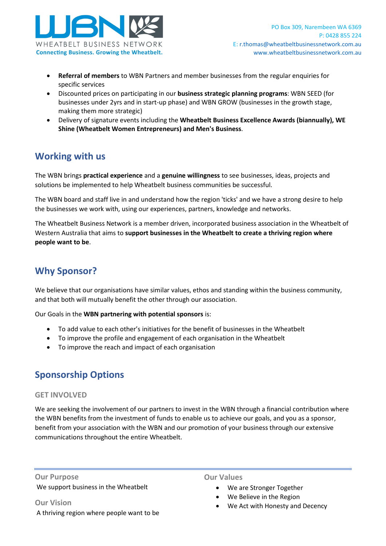

- **Referral of members** to WBN Partners and member businesses from the regular enquiries for specific services
- Discounted prices on participating in our **business strategic planning programs**: WBN SEED (for businesses under 2yrs and in start-up phase) and WBN GROW (businesses in the growth stage, making them more strategic)
- Delivery of signature events including the **Wheatbelt Business Excellence Awards (biannually), WE Shine (Wheatbelt Women Entrepreneurs) and Men's Business**.

#### **Working with us**

The WBN brings **practical experience** and a **genuine willingness** to see businesses, ideas, projects and solutions be implemented to help Wheatbelt business communities be successful.

The WBN board and staff live in and understand how the region 'ticks' and we have a strong desire to help the businesses we work with, using our experiences, partners, knowledge and networks.

The Wheatbelt Business Network is a member driven, incorporated business association in the Wheatbelt of Western Australia that aims to **support businesses in the Wheatbelt to create a thriving region where people want to be**.

### **Why Sponsor?**

We believe that our organisations have similar values, ethos and standing within the business community, and that both will mutually benefit the other through our association.

Our Goals in the **WBN partnering with potential sponsors** is:

- To add value to each other's initiatives for the benefit of businesses in the Wheatbelt
- To improve the profile and engagement of each organisation in the Wheatbelt
- To improve the reach and impact of each organisation

### **Sponsorship Options**

#### **GET INVOLVED**

We are seeking the involvement of our partners to invest in the WBN through a financial contribution where the WBN benefits from the investment of funds to enable us to achieve our goals, and you as a sponsor, benefit from your association with the WBN and our promotion of your business through our extensive communications throughout the entire Wheatbelt.

**Our Purpose**  We support business in the Wheatbelt

**Our Vision**  A thriving region where people want to be **Our Values** 

- We are Stronger Together
- We Believe in the Region
- We Act with Honesty and Decency